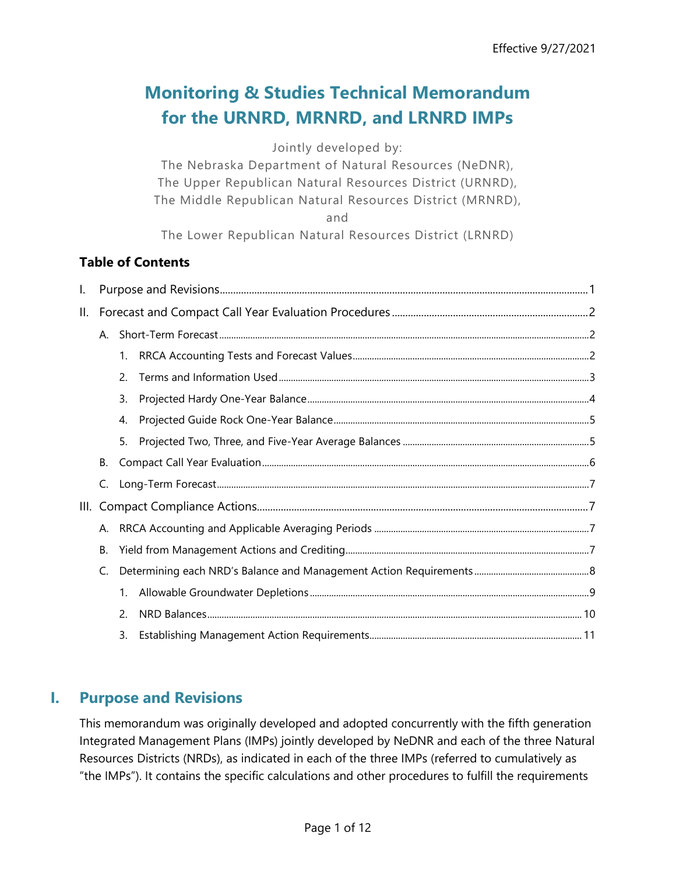# **Monitoring & Studies Technical Memorandum for the URNRD, MRNRD, and LRNRD IMPs**

Jointly developed by:

The Nebraska Department of Natural Resources (NeDNR), The Upper Republican Natural Resources District (URNRD), The Middle Republican Natural Resources District (MRNRD),

and

The Lower Republican Natural Resources District (LRNRD)

### **Table of Contents**

| Ι.  |                      |             |  |
|-----|----------------------|-------------|--|
| ΙΙ. |                      |             |  |
|     | $\mathsf{A}_{\cdot}$ |             |  |
|     |                      | 1.          |  |
|     |                      | 2.          |  |
|     |                      | 3.          |  |
|     |                      | 4.          |  |
|     |                      | 5.          |  |
|     | В.                   |             |  |
|     | C.                   |             |  |
| Ш.  |                      |             |  |
|     | Α.                   |             |  |
|     | В.                   |             |  |
|     | C.                   |             |  |
|     |                      | $1_{\cdot}$ |  |
|     |                      | 2.          |  |
|     |                      | 3.          |  |

# <span id="page-0-0"></span>**I. Purpose and Revisions**

This memorandum was originally developed and adopted concurrently with the fifth generation Integrated Management Plans (IMPs) jointly developed by NeDNR and each of the three Natural Resources Districts (NRDs), as indicated in each of the three IMPs (referred to cumulatively as "the IMPs"). It contains the specific calculations and other procedures to fulfill the requirements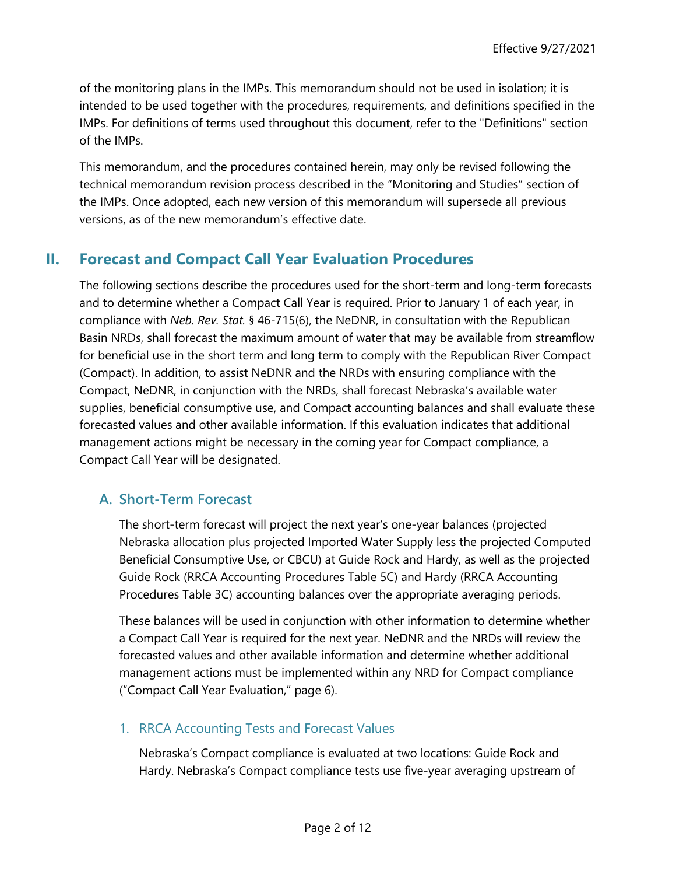of the monitoring plans in the IMPs. This memorandum should not be used in isolation; it is intended to be used together with the procedures, requirements, and definitions specified in the IMPs. For definitions of terms used throughout this document, refer to the "Definitions" section of the IMPs.

This memorandum, and the procedures contained herein, may only be revised following the technical memorandum revision process described in the "Monitoring and Studies" section of the IMPs. Once adopted, each new version of this memorandum will supersede all previous versions, as of the new memorandum's effective date.

# <span id="page-1-0"></span>**II. Forecast and Compact Call Year Evaluation Procedures**

The following sections describe the procedures used for the short-term and long-term forecasts and to determine whether a Compact Call Year is required. Prior to January 1 of each year, in compliance with *Neb. Rev. Stat.* § 46-715(6), the NeDNR, in consultation with the Republican Basin NRDs, shall forecast the maximum amount of water that may be available from streamflow for beneficial use in the short term and long term to comply with the Republican River Compact (Compact). In addition, to assist NeDNR and the NRDs with ensuring compliance with the Compact, NeDNR, in conjunction with the NRDs, shall forecast Nebraska's available water supplies, beneficial consumptive use, and Compact accounting balances and shall evaluate these forecasted values and other available information. If this evaluation indicates that additional management actions might be necessary in the coming year for Compact compliance, a Compact Call Year will be designated.

### <span id="page-1-1"></span>**A. Short-Term Forecast**

The short-term forecast will project the next year's one-year balances (projected Nebraska allocation plus projected Imported Water Supply less the projected Computed Beneficial Consumptive Use, or CBCU) at Guide Rock and Hardy, as well as the projected Guide Rock (RRCA Accounting Procedures Table 5C) and Hardy (RRCA Accounting Procedures Table 3C) accounting balances over the appropriate averaging periods.

These balances will be used in conjunction with other information to determine whether a Compact Call Year is required for the next year. NeDNR and the NRDs will review the forecasted values and other available information and determine whether additional management actions must be implemented within any NRD for Compact compliance (["Compact Call Year Evaluation,](#page-5-0)" page [6\)](#page-5-0).

### <span id="page-1-2"></span>1. RRCA Accounting Tests and Forecast Values

Nebraska's Compact compliance is evaluated at two locations: Guide Rock and Hardy. Nebraska's Compact compliance tests use five-year averaging upstream of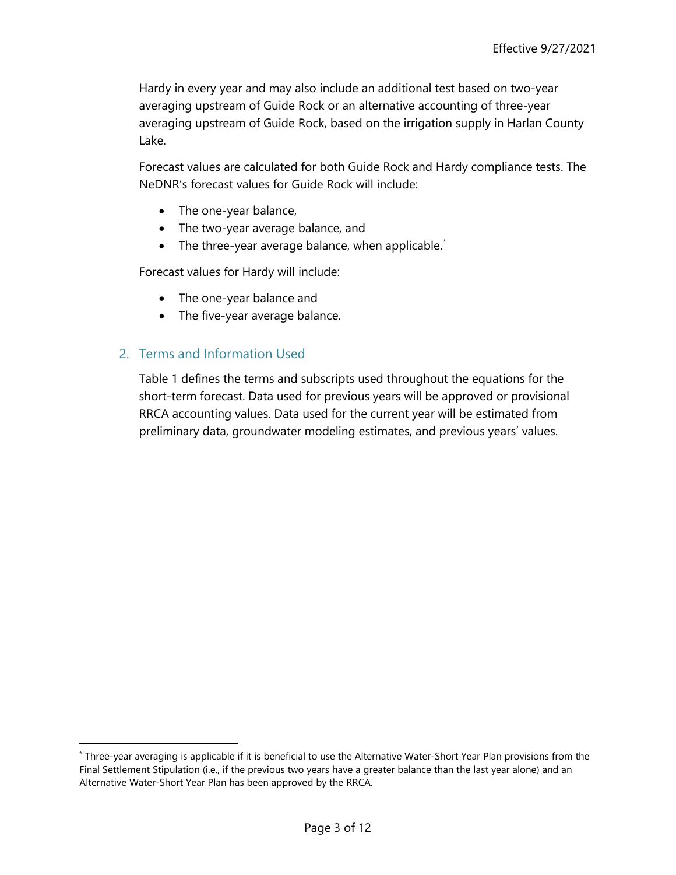Hardy in every year and may also include an additional test based on two-year averaging upstream of Guide Rock or an alternative accounting of three-year averaging upstream of Guide Rock, based on the irrigation supply in Harlan County Lake.

Forecast values are calculated for both Guide Rock and Hardy compliance tests. The NeDNR's forecast values for Guide Rock will include:

- The one-year balance,
- The two-year average balance, and
- The three-year average balance, when applicable.<sup>[\\*](#page-2-1)</sup>

Forecast values for Hardy will include:

- The one-year balance and
- The five-year average balance.

### <span id="page-2-0"></span>2. Terms and Information Used

[Table 1](#page-3-1) defines the terms and subscripts used throughout the equations for the short-term forecast. Data used for previous years will be approved or provisional RRCA accounting values. Data used for the current year will be estimated from preliminary data, groundwater modeling estimates, and previous years' values.

<span id="page-2-1"></span><sup>\*</sup> Three-year averaging is applicable if it is beneficial to use the Alternative Water-Short Year Plan provisions from the Final Settlement Stipulation (i.e., if the previous two years have a greater balance than the last year alone) and an Alternative Water-Short Year Plan has been approved by the RRCA.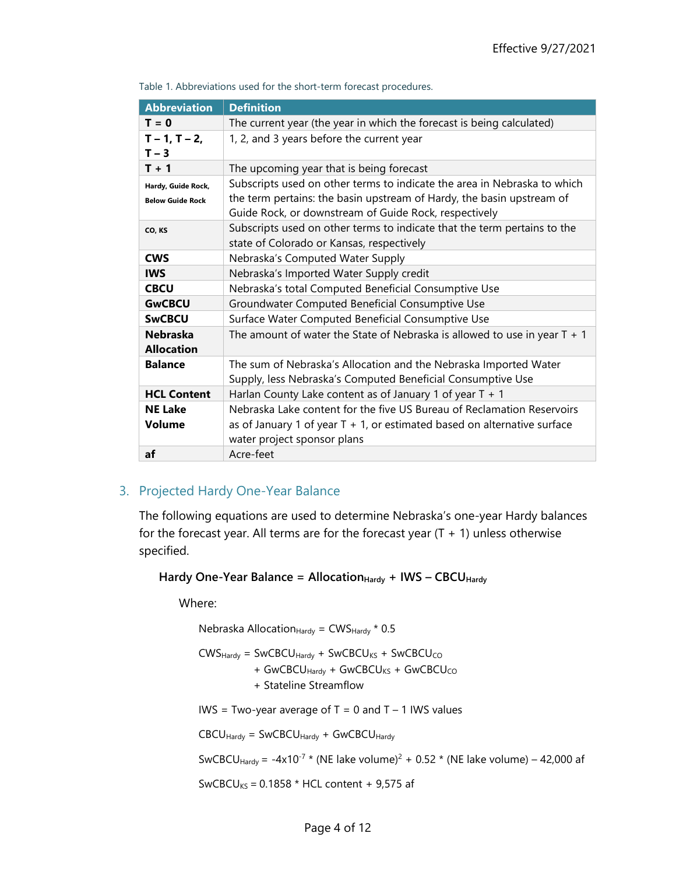| <b>Abbreviation</b>                  | <b>Definition</b>                                                                                                               |
|--------------------------------------|---------------------------------------------------------------------------------------------------------------------------------|
| $T = 0$                              | The current year (the year in which the forecast is being calculated)                                                           |
| $T - 1, T - 2,$<br>$T - 3$           | 1, 2, and 3 years before the current year                                                                                       |
| $T + 1$                              | The upcoming year that is being forecast                                                                                        |
| Hardy, Guide Rock,                   | Subscripts used on other terms to indicate the area in Nebraska to which                                                        |
| <b>Below Guide Rock</b>              | the term pertains: the basin upstream of Hardy, the basin upstream of<br>Guide Rock, or downstream of Guide Rock, respectively  |
| CO, KS                               | Subscripts used on other terms to indicate that the term pertains to the<br>state of Colorado or Kansas, respectively           |
| <b>CWS</b>                           | Nebraska's Computed Water Supply                                                                                                |
| <b>IWS</b>                           | Nebraska's Imported Water Supply credit                                                                                         |
| <b>CBCU</b>                          | Nebraska's total Computed Beneficial Consumptive Use                                                                            |
| <b>GwCBCU</b>                        | Groundwater Computed Beneficial Consumptive Use                                                                                 |
| <b>SwCBCU</b>                        | Surface Water Computed Beneficial Consumptive Use                                                                               |
| <b>Nebraska</b><br><b>Allocation</b> | The amount of water the State of Nebraska is allowed to use in year $T + 1$                                                     |
| <b>Balance</b>                       | The sum of Nebraska's Allocation and the Nebraska Imported Water<br>Supply, less Nebraska's Computed Beneficial Consumptive Use |
| <b>HCL Content</b>                   | Harlan County Lake content as of January 1 of year $T + 1$                                                                      |
| <b>NE Lake</b>                       | Nebraska Lake content for the five US Bureau of Reclamation Reservoirs                                                          |
| Volume                               | as of January 1 of year $T + 1$ , or estimated based on alternative surface<br>water project sponsor plans                      |
| af                                   | Acre-feet                                                                                                                       |

<span id="page-3-1"></span>Table 1. Abbreviations used for the short-term forecast procedures.

#### <span id="page-3-0"></span>3. Projected Hardy One-Year Balance

The following equations are used to determine Nebraska's one-year Hardy balances for the forecast year. All terms are for the forecast year  $(T + 1)$  unless otherwise specified.

Hardy One-Year Balance = Allocation<sub>Hardy</sub> + IWS - CBCU<sub>Hardy</sub>

Where:

Nebraska Allocation $_{\text{Hardy}}$  = CWS $_{\text{Hardy}}$  \* 0.5

 $CWS<sub>Hardy</sub> = SWCBCU<sub>Hardy</sub> + SWCBCU<sub>KS</sub> + SWCBCU<sub>CO</sub>$ + GwCBCU<sub>Hardv</sub> + GwCBCU<sub>KS</sub> + GwCBCU<sub>CO</sub>

+ Stateline Streamflow

IWS = Two-year average of  $T = 0$  and  $T - 1$  IWS values

 $CBCU_{Hardy} = SWCBCU_{Hardy} + GWCBCU_{Hardy}$ 

SwCBCU<sub>Hardy</sub> = -4x10<sup>-7</sup> \* (NE lake volume)<sup>2</sup> + 0.52 \* (NE lake volume) – 42,000 af

SwCBCU<sub>KS</sub> =  $0.1858 * HCL$  content + 9,575 af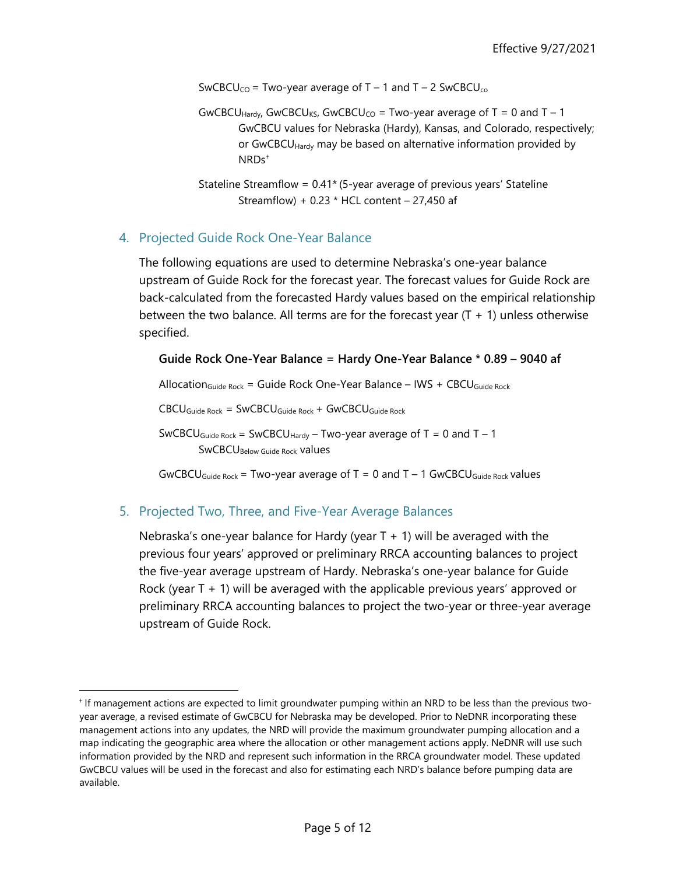SwCBCU<sub>CO</sub> = Two-year average of  $T - 1$  and  $T - 2$  SwCBCU<sub>co</sub>

- GwCBCU<sub>Hardy</sub>, GwCBCU<sub>KS</sub>, GwCBCU<sub>CO</sub> = Two-year average of T = 0 and T 1 GwCBCU values for Nebraska (Hardy), Kansas, and Colorado, respectively; or GwCBCU<sub>Hardy</sub> may be based on alternative information provided by NRDs[†](#page-4-2)
- Stateline Streamflow = 0.41\* (5-year average of previous years' Stateline Streamflow) + 0.23  $*$  HCL content – 27,450 af

#### <span id="page-4-0"></span>4. Projected Guide Rock One-Year Balance

The following equations are used to determine Nebraska's one-year balance upstream of Guide Rock for the forecast year. The forecast values for Guide Rock are back-calculated from the forecasted Hardy values based on the empirical relationship between the two balance. All terms are for the forecast year  $(T + 1)$  unless otherwise specified.

**Guide Rock One-Year Balance = Hardy One-Year Balance \* 0.89 – 9040 af**

Allocation<sub>Guide Rock</sub> = Guide Rock One-Year Balance – IWS + CBCU<sub>Guide Rock</sub>

CBCUGuide Rock = SwCBCUGuide Rock + GwCBCUGuide Rock

SwCBCU<sub>Guide Rock</sub> = SwCBCU<sub>Hardy</sub> – Two-year average of  $T = 0$  and  $T - 1$ SwCBCUBelow Guide Rock values

GwCBCU<sub>Guide Rock</sub> = Two-year average of  $T = 0$  and  $T - 1$  GwCBCU<sub>Guide Rock</sub> values

#### <span id="page-4-1"></span>5. Projected Two, Three, and Five-Year Average Balances

Nebraska's one-year balance for Hardy (year  $T + 1$ ) will be averaged with the previous four years' approved or preliminary RRCA accounting balances to project the five-year average upstream of Hardy. Nebraska's one-year balance for Guide Rock (year T + 1) will be averaged with the applicable previous years' approved or preliminary RRCA accounting balances to project the two-year or three-year average upstream of Guide Rock.

<span id="page-4-2"></span><sup>†</sup> If management actions are expected to limit groundwater pumping within an NRD to be less than the previous twoyear average, a revised estimate of GwCBCU for Nebraska may be developed. Prior to NeDNR incorporating these management actions into any updates, the NRD will provide the maximum groundwater pumping allocation and a map indicating the geographic area where the allocation or other management actions apply. NeDNR will use such information provided by the NRD and represent such information in the RRCA groundwater model. These updated GwCBCU values will be used in the forecast and also for estimating each NRD's balance before pumping data are available.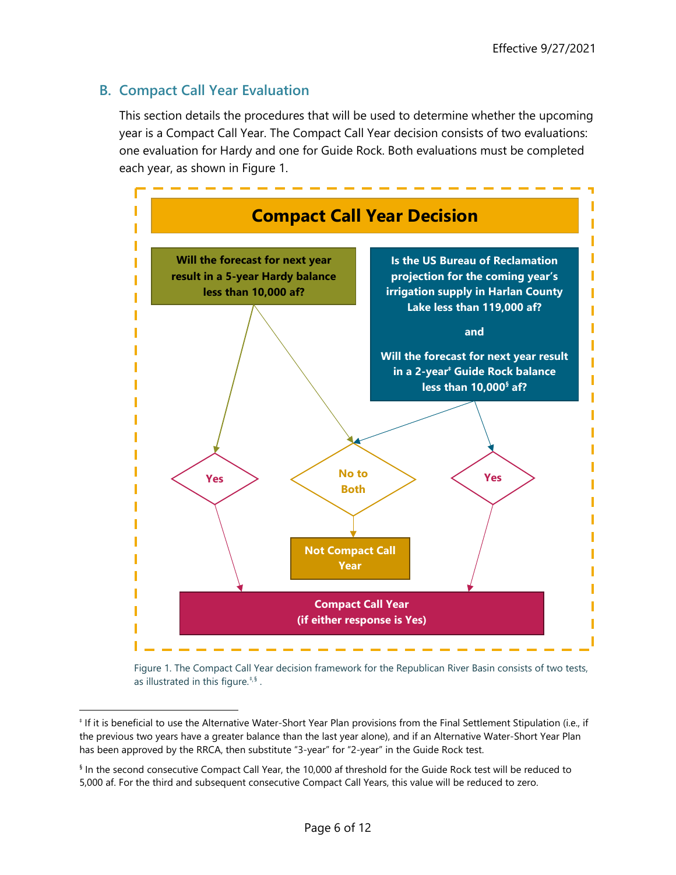## <span id="page-5-0"></span>**B. Compact Call Year Evaluation**

This section details the procedures that will be used to determine whether the upcoming year is a Compact Call Year. The Compact Call Year decision consists of two evaluations: one evaluation for Hardy and one for Guide Rock. Both evaluations must be completed each year, as shown in [Figure 1.](#page-5-1)



<span id="page-5-3"></span><span id="page-5-2"></span><span id="page-5-1"></span>Figure 1. The Compact Call Year decision framework for the Republican River Basin consists of two tests, as illustrated in this figure. $^{*,\mathfrak{g}}$  .

<span id="page-5-4"></span><sup>‡</sup> If it is beneficial to use the Alternative Water-Short Year Plan provisions from the Final Settlement Stipulation (i.e., if the previous two years have a greater balance than the last year alone), and if an Alternative Water-Short Year Plan has been approved by the RRCA, then substitute "3-year" for "2-year" in the Guide Rock test.

<span id="page-5-5"></span><sup>§</sup> In the second consecutive Compact Call Year, the 10,000 af threshold for the Guide Rock test will be reduced to 5,000 af. For the third and subsequent consecutive Compact Call Years, this value will be reduced to zero.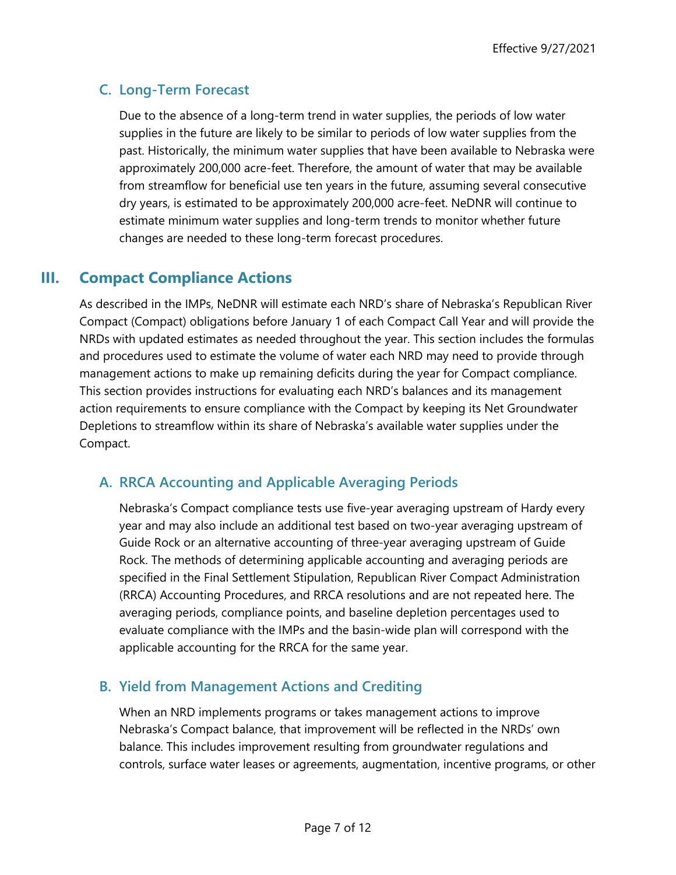# <span id="page-6-0"></span>**C. Long-Term Forecast**

Due to the absence of a long-term trend in water supplies, the periods of low water supplies in the future are likely to be similar to periods of low water supplies from the past. Historically, the minimum water supplies that have been available to Nebraska were approximately 200,000 acre-feet. Therefore, the amount of water that may be available from streamflow for beneficial use ten years in the future, assuming several consecutive dry years, is estimated to be approximately 200,000 acre-feet. NeDNR will continue to estimate minimum water supplies and long-term trends to monitor whether future changes are needed to these long-term forecast procedures.

# <span id="page-6-1"></span>**III. Compact Compliance Actions**

As described in the IMPs, NeDNR will estimate each NRD's share of Nebraska's Republican River Compact (Compact) obligations before January 1 of each Compact Call Year and will provide the NRDs with updated estimates as needed throughout the year. This section includes the formulas and procedures used to estimate the volume of water each NRD may need to provide through management actions to make up remaining deficits during the year for Compact compliance. This section provides instructions for evaluating each NRD's balances and its management action requirements to ensure compliance with the Compact by keeping its Net Groundwater Depletions to streamflow within its share of Nebraska's available water supplies under the Compact.

### <span id="page-6-2"></span>**A. RRCA Accounting and Applicable Averaging Periods**

Nebraska's Compact compliance tests use five-year averaging upstream of Hardy every year and may also include an additional test based on two-year averaging upstream of Guide Rock or an alternative accounting of three-year averaging upstream of Guide Rock. The methods of determining applicable accounting and averaging periods are specified in the Final Settlement Stipulation, Republican River Compact Administration (RRCA) Accounting Procedures, and RRCA resolutions and are not repeated here. The averaging periods, compliance points, and baseline depletion percentages used to evaluate compliance with the IMPs and the basin-wide plan will correspond with the applicable accounting for the RRCA for the same year.

### <span id="page-6-3"></span>**B. Yield from Management Actions and Crediting**

When an NRD implements programs or takes management actions to improve Nebraska's Compact balance, that improvement will be reflected in the NRDs' own balance. This includes improvement resulting from groundwater regulations and controls, surface water leases or agreements, augmentation, incentive programs, or other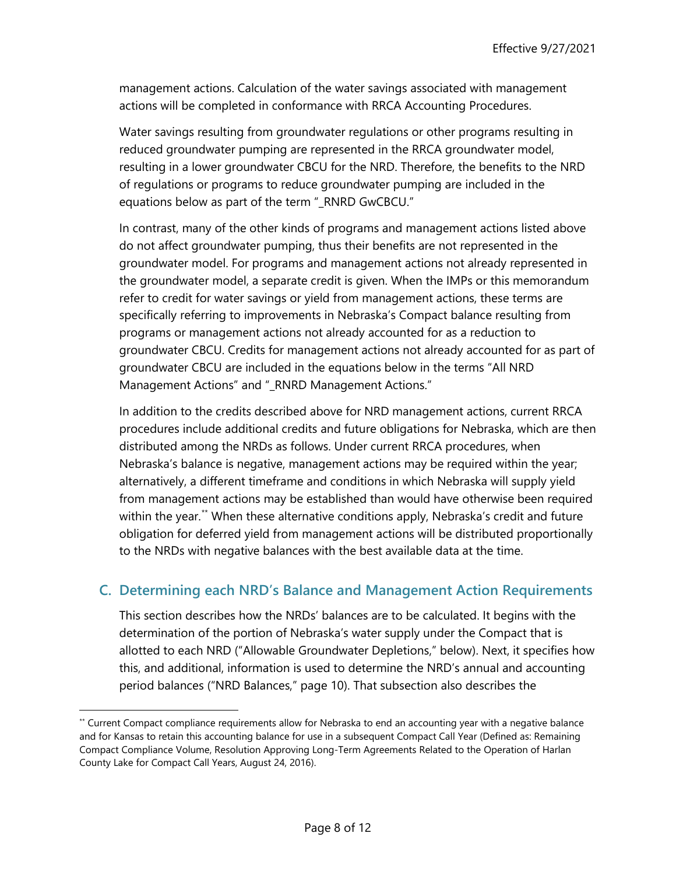management actions. Calculation of the water savings associated with management actions will be completed in conformance with RRCA Accounting Procedures.

Water savings resulting from groundwater regulations or other programs resulting in reduced groundwater pumping are represented in the RRCA groundwater model, resulting in a lower groundwater CBCU for the NRD. Therefore, the benefits to the NRD of regulations or programs to reduce groundwater pumping are included in the equations below as part of the term "\_RNRD GwCBCU."

In contrast, many of the other kinds of programs and management actions listed above do not affect groundwater pumping, thus their benefits are not represented in the groundwater model. For programs and management actions not already represented in the groundwater model, a separate credit is given. When the IMPs or this memorandum refer to credit for water savings or yield from management actions, these terms are specifically referring to improvements in Nebraska's Compact balance resulting from programs or management actions not already accounted for as a reduction to groundwater CBCU. Credits for management actions not already accounted for as part of groundwater CBCU are included in the equations below in the terms "All NRD Management Actions" and "\_RNRD Management Actions."

In addition to the credits described above for NRD management actions, current RRCA procedures include additional credits and future obligations for Nebraska, which are then distributed among the NRDs as follows. Under current RRCA procedures, when Nebraska's balance is negative, management actions may be required within the year; alternatively, a different timeframe and conditions in which Nebraska will supply yield from management actions may be established than would have otherwise been required within the year.<sup>[\\*\\*](#page-7-1)</sup> When these alternative conditions apply, Nebraska's credit and future obligation for deferred yield from management actions will be distributed proportionally to the NRDs with negative balances with the best available data at the time.

### <span id="page-7-0"></span>**C. Determining each NRD's Balance and Management Action Requirements**

This section describes how the NRDs' balances are to be calculated. It begins with the determination of the portion of Nebraska's water supply under the Compact that is allotted to each NRD (["Allowable Groundwater Depletions,](#page-8-0)" below). Next, it specifies how this, and additional, information is used to determine the NRD's annual and accounting period balances (["NRD Balances,](#page-9-0)" page [10\)](#page-9-0). That subsection also describes the

<span id="page-7-1"></span><sup>\*\*</sup> Current Compact compliance requirements allow for Nebraska to end an accounting year with a negative balance and for Kansas to retain this accounting balance for use in a subsequent Compact Call Year (Defined as: Remaining Compact Compliance Volume, Resolution Approving Long-Term Agreements Related to the Operation of Harlan County Lake for Compact Call Years, August 24, 2016).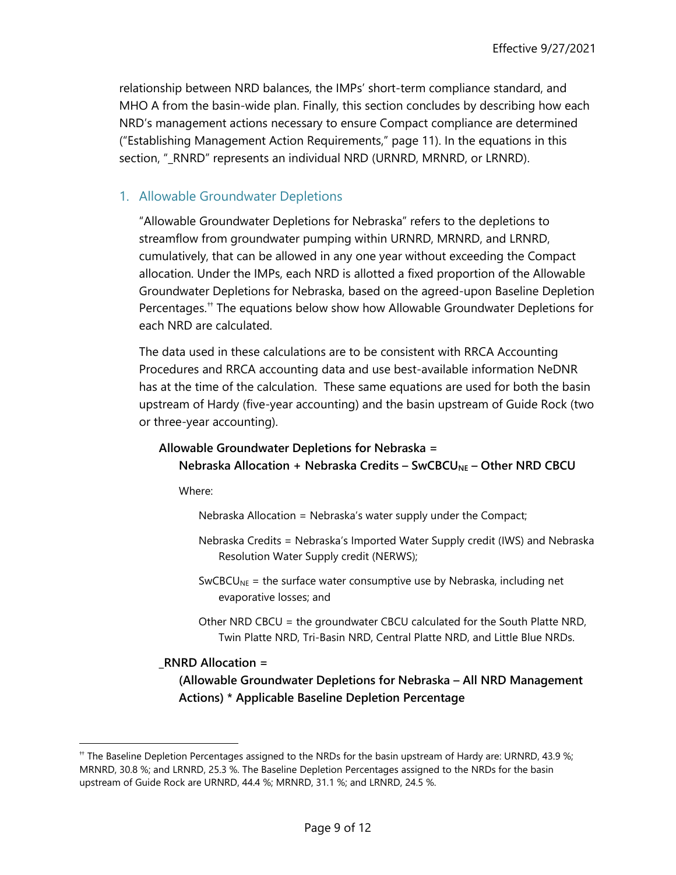relationship between NRD balances, the IMPs' short-term compliance standard, and MHO A from the basin-wide plan. Finally, this section concludes by describing how each NRD's management actions necessary to ensure Compact compliance are determined (["Establishing Management Action Requirements,](#page-10-0)" page [11\)](#page-10-0). In the equations in this section, "\_RNRD" represents an individual NRD (URNRD, MRNRD, or LRNRD).

#### <span id="page-8-0"></span>1. Allowable Groundwater Depletions

"Allowable Groundwater Depletions for Nebraska" refers to the depletions to streamflow from groundwater pumping within URNRD, MRNRD, and LRNRD, cumulatively, that can be allowed in any one year without exceeding the Compact allocation. Under the IMPs, each NRD is allotted a fixed proportion of the Allowable Groundwater Depletions for Nebraska, based on the agreed-upon Baseline Depletion Percentages.<sup>[††](#page-8-1)</sup> The equations below show how Allowable Groundwater Depletions for each NRD are calculated.

<span id="page-8-2"></span>The data used in these calculations are to be consistent with RRCA Accounting Procedures and RRCA accounting data and use best-available information NeDNR has at the time of the calculation. These same equations are used for both the basin upstream of Hardy (five-year accounting) and the basin upstream of Guide Rock (two or three-year accounting).

# **Allowable Groundwater Depletions for Nebraska = Nebraska Allocation + Nebraska Credits – SwCBCUNE – Other NRD CBCU**

Where:

Nebraska Allocation = Nebraska's water supply under the Compact;

- Nebraska Credits = Nebraska's Imported Water Supply credit (IWS) and Nebraska Resolution Water Supply credit (NERWS);
- $SwCBCU<sub>NE</sub>$  = the surface water consumptive use by Nebraska, including net evaporative losses; and
- Other NRD CBCU = the groundwater CBCU calculated for the South Platte NRD, Twin Platte NRD, Tri-Basin NRD, Central Platte NRD, and Little Blue NRDs.

#### **\_RNRD Allocation =**

**(Allowable Groundwater Depletions for Nebraska – All NRD Management Actions) \* Applicable Baseline Depletion Percentage**

<span id="page-8-1"></span><sup>††</sup> The Baseline Depletion Percentages assigned to the NRDs for the basin upstream of Hardy are: URNRD, 43.9 %; MRNRD, 30.8 %; and LRNRD, 25.3 %. The Baseline Depletion Percentages assigned to the NRDs for the basin upstream of Guide Rock are URNRD, 44.4 %; MRNRD, 31.1 %; and LRNRD, 24.5 %.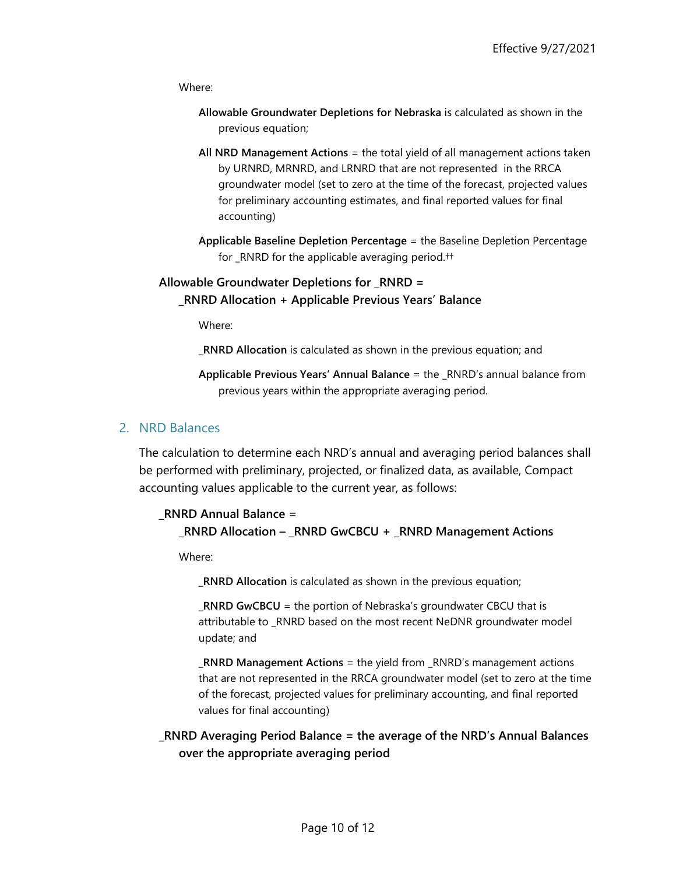Where:

- **Allowable Groundwater Depletions for Nebraska** is calculated as shown in the previous equation;
- **All NRD Management Actions** = the total yield of all management actions taken by URNRD, MRNRD, and LRNRD that are not represented in the RRCA groundwater model (set to zero at the time of the forecast, projected values for preliminary accounting estimates, and final reported values for final accounting)
- **Applicable Baseline Depletion Percentage** = the Baseline Depletion Percentage for \_RNRD for the applicable averaging perio[d.††](#page-8-2)

#### **Allowable Groundwater Depletions for \_RNRD = \_RNRD Allocation + Applicable Previous Years' Balance**

Where:

**\_RNRD Allocation** is calculated as shown in the previous equation; and

**Applicable Previous Years' Annual Balance** = the \_RNRD's annual balance from previous years within the appropriate averaging period.

#### <span id="page-9-0"></span>2. NRD Balances

The calculation to determine each NRD's annual and averaging period balances shall be performed with preliminary, projected, or finalized data, as available, Compact accounting values applicable to the current year, as follows:

### **\_RNRD Annual Balance = \_RNRD Allocation – \_RNRD GwCBCU + \_RNRD Management Actions**

Where:

**\_RNRD Allocation** is calculated as shown in the previous equation;

**\_RNRD GwCBCU** = the portion of Nebraska's groundwater CBCU that is attributable to \_RNRD based on the most recent NeDNR groundwater model update; and

**\_RNRD Management Actions** = the yield from \_RNRD's management actions that are not represented in the RRCA groundwater model (set to zero at the time of the forecast, projected values for preliminary accounting, and final reported values for final accounting)

### **\_RNRD Averaging Period Balance = the average of the NRD's Annual Balances over the appropriate averaging period**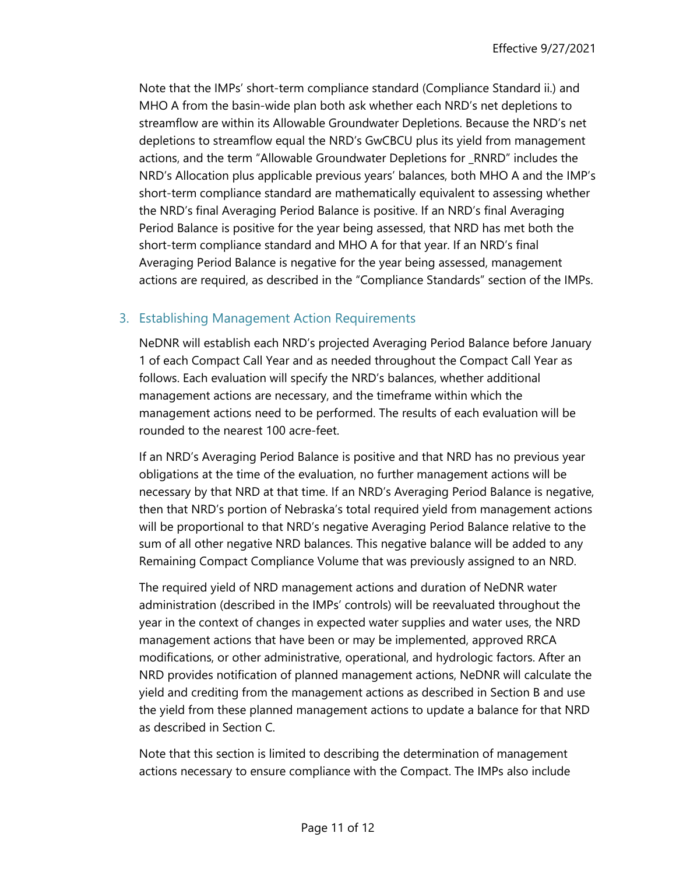Note that the IMPs' short-term compliance standard (Compliance Standard ii.) and MHO A from the basin-wide plan both ask whether each NRD's net depletions to streamflow are within its Allowable Groundwater Depletions. Because the NRD's net depletions to streamflow equal the NRD's GwCBCU plus its yield from management actions, and the term "Allowable Groundwater Depletions for \_RNRD" includes the NRD's Allocation plus applicable previous years' balances, both MHO A and the IMP's short-term compliance standard are mathematically equivalent to assessing whether the NRD's final Averaging Period Balance is positive. If an NRD's final Averaging Period Balance is positive for the year being assessed, that NRD has met both the short-term compliance standard and MHO A for that year. If an NRD's final Averaging Period Balance is negative for the year being assessed, management actions are required, as described in the "Compliance Standards" section of the IMPs.

### <span id="page-10-0"></span>3. Establishing Management Action Requirements

NeDNR will establish each NRD's projected Averaging Period Balance before January 1 of each Compact Call Year and as needed throughout the Compact Call Year as follows. Each evaluation will specify the NRD's balances, whether additional management actions are necessary, and the timeframe within which the management actions need to be performed. The results of each evaluation will be rounded to the nearest 100 acre-feet.

If an NRD's Averaging Period Balance is positive and that NRD has no previous year obligations at the time of the evaluation, no further management actions will be necessary by that NRD at that time. If an NRD's Averaging Period Balance is negative, then that NRD's portion of Nebraska's total required yield from management actions will be proportional to that NRD's negative Averaging Period Balance relative to the sum of all other negative NRD balances. This negative balance will be added to any Remaining Compact Compliance Volume that was previously assigned to an NRD.

The required yield of NRD management actions and duration of NeDNR water administration (described in the IMPs' controls) will be reevaluated throughout the year in the context of changes in expected water supplies and water uses, the NRD management actions that have been or may be implemented, approved RRCA modifications, or other administrative, operational, and hydrologic factors. After an NRD provides notification of planned management actions, NeDNR will calculate the yield and crediting from the management actions as described in Section B and use the yield from these planned management actions to update a balance for that NRD as described in Section C.

Note that this section is limited to describing the determination of management actions necessary to ensure compliance with the Compact. The IMPs also include